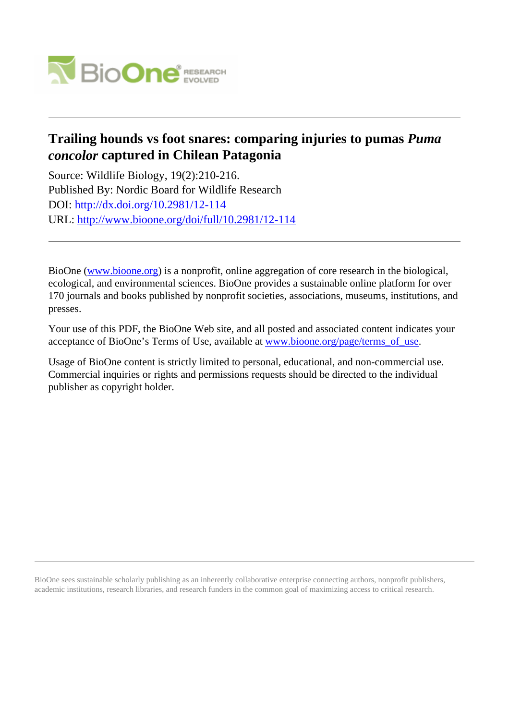

# **Trailing hounds vs foot snares: comparing injuries to pumas** *Puma concolor* **captured in Chilean Patagonia**

Source: Wildlife Biology, 19(2):210-216. Published By: Nordic Board for Wildlife Research DOI:<http://dx.doi.org/10.2981/12-114> URL: <http://www.bioone.org/doi/full/10.2981/12-114>

BioOne [\(www.bioone.org\)](http://www.bioone.org) is a nonprofit, online aggregation of core research in the biological, ecological, and environmental sciences. BioOne provides a sustainable online platform for over 170 journals and books published by nonprofit societies, associations, museums, institutions, and presses.

Your use of this PDF, the BioOne Web site, and all posted and associated content indicates your acceptance of BioOne's Terms of Use, available at [www.bioone.org/page/terms\\_of\\_use.](http://www.bioone.org/page/terms_of_use)

Usage of BioOne content is strictly limited to personal, educational, and non-commercial use. Commercial inquiries or rights and permissions requests should be directed to the individual publisher as copyright holder.

BioOne sees sustainable scholarly publishing as an inherently collaborative enterprise connecting authors, nonprofit publishers, academic institutions, research libraries, and research funders in the common goal of maximizing access to critical research.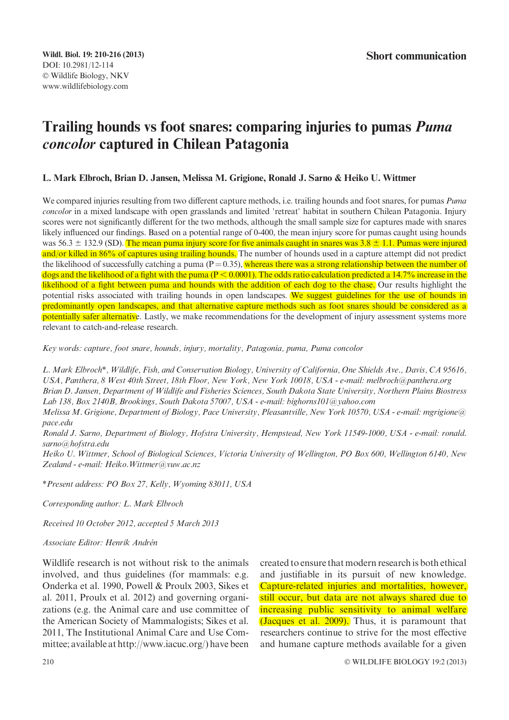# Trailing hounds vs foot snares: comparing injuries to pumas Puma concolor captured in Chilean Patagonia

### L. Mark Elbroch, Brian D. Jansen, Melissa M. Grigione, Ronald J. Sarno & Heiko U. Wittmer

We compared injuries resulting from two different capture methods, i.e. trailing hounds and foot snares, for pumas Puma concolor in a mixed landscape with open grasslands and limited 'retreat' habitat in southern Chilean Patagonia. Injury scores were not significantly different for the two methods, although the small sample size for captures made with snares likely influenced our findings. Based on a potential range of 0-400, the mean injury score for pumas caught using hounds was 56.3  $\pm$  132.9 (SD). The mean puma injury score for five animals caught in snares was 3.8  $\pm$  1.1. Pumas were injured and/or killed in 86% of captures using trailing hounds. The number of hounds used in a capture attempt did not predict the likelihood of successfully catching a puma  $(P=0.35)$ , whereas there was a strong relationship between the number of dogs and the likelihood of a fight with the puma ( $P < 0.0001$ ). The odds ratio calculation predicted a 14.7% increase in the likelihood of a fight between puma and hounds with the addition of each dog to the chase. Our results highlight the potential risks associated with trailing hounds in open landscapes. We suggest guidelines for the use of hounds in predominantly open landscapes, and that alternative capture methods such as foot snares should be considered as a potentially safer alternative. Lastly, we make recommendations for the development of injury assessment systems more relevant to catch-and-release research.

Key words: capture, foot snare, hounds, injury, mortality, Patagonia, puma, Puma concolor

L. Mark Elbroch\*, Wildlife, Fish, and Conservation Biology, University of California, One Shields Ave., Davis, CA 95616, USA, Panthera, 8 West 40th Street, 18th Floor, New York, New York 10018, USA - e-mail: melbroch@panthera.org Brian D. Jansen, Department of Wildlife and Fisheries Sciences, South Dakota State University, Northern Plains Biostress Lab 138, Box 2140B, Brookings, South Dakota 57007, USA - e-mail: bighorns101@yahoo.com

Melissa M. Grigione, Department of Biology, Pace University, Pleasantville, New York 10570, USA - e-mail: mgrigione@ pace.edu

Ronald J. Sarno, Department of Biology, Hofstra University, Hempstead, New York 11549-1000, USA - e-mail: ronald. sarno@hofstra.edu

Heiko U. Wittmer, School of Biological Sciences, Victoria University of Wellington, PO Box 600, Wellington 6140, New Zealand - e-mail: Heiko. Wittmer@vuw.ac.nz

\*Present address: PO Box 27, Kelly, Wyoming 83011, USA

Corresponding author: L. Mark Elbroch

Received 10 October 2012, accepted 5 March 2013

#### Associate Editor: Henrik Andrén

Wildlife research is not without risk to the animals involved, and thus guidelines (for mammals: e.g. Onderka et al. 1990, Powell & Proulx 2003, Sikes et al. 2011, Proulx et al. 2012) and governing organizations (e.g. the Animal care and use committee of the American Society of Mammalogists; Sikes et al. 2011, The Institutional Animal Care and Use Committee; available at http://www.iacuc.org/) have been created to ensure that modern research is both ethical and justifiable in its pursuit of new knowledge. Capture-related injuries and mortalities, however, still occur, but data are not always shared due to increasing public sensitivity to animal welfare (Jacques et al. 2009). Thus, it is paramount that researchers continue to strive for the most effective and humane capture methods available for a given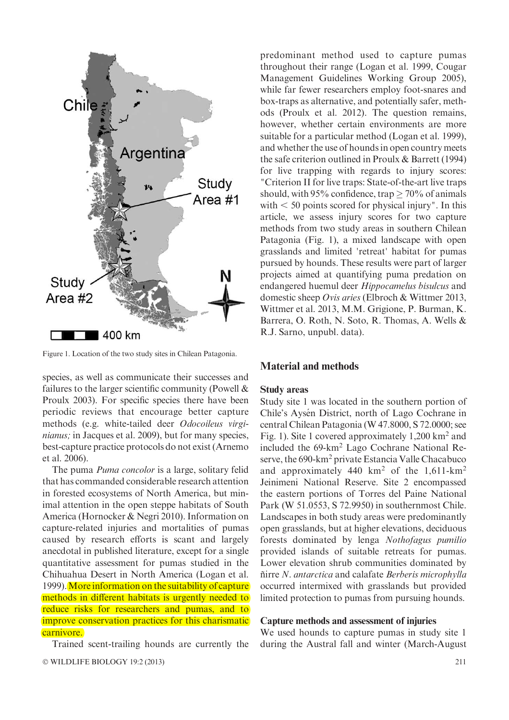

Figure 1. Location of the two study sites in Chilean Patagonia.

species, as well as communicate their successes and failures to the larger scientific community (Powell & Proulx 2003). For specific species there have been periodic reviews that encourage better capture methods (e.g. white-tailed deer Odocoileus virginianus; in Jacques et al. 2009), but for many species, best-capture practice protocols do not exist (Arnemo et al. 2006).

The puma *Puma concolor* is a large, solitary felid that has commanded considerable research attention in forested ecosystems of North America, but minimal attention in the open steppe habitats of South America (Hornocker & Negri 2010). Information on capture-related injuries and mortalities of pumas caused by research efforts is scant and largely anecdotal in published literature, except for a single quantitative assessment for pumas studied in the Chihuahua Desert in North America (Logan et al. 1999). More information on the suitability of capture methods in different habitats is urgently needed to reduce risks for researchers and pumas, and to improve conservation practices for this charismatic carnivore.

Trained scent-trailing hounds are currently the

predominant method used to capture pumas throughout their range (Logan et al. 1999, Cougar Management Guidelines Working Group 2005), while far fewer researchers employ foot-snares and box-traps as alternative, and potentially safer, methods (Proulx et al. 2012). The question remains, however, whether certain environments are more suitable for a particular method (Logan et al. 1999), and whether the use of hounds in open country meets the safe criterion outlined in Proulx & Barrett (1994) for live trapping with regards to injury scores: "Criterion II for live traps: State-of-the-art live traps should, with 95% confidence, trap  $\geq$  70% of animals with  $<$  50 points scored for physical injury". In this article, we assess injury scores for two capture methods from two study areas in southern Chilean Patagonia (Fig. 1), a mixed landscape with open grasslands and limited 'retreat' habitat for pumas pursued by hounds. These results were part of larger projects aimed at quantifying puma predation on endangered huemul deer Hippocamelus bisulcus and domestic sheep Ovis aries (Elbroch & Wittmer 2013, Wittmer et al. 2013, M.M. Grigione, P. Burman, K. Barrera, O. Roth, N. Soto, R. Thomas, A. Wells & R.J. Sarno, unpubl. data).

# Material and methods

#### Study areas

Study site 1 was located in the southern portion of Chile's Aysén District, north of Lago Cochrane in central Chilean Patagonia (W 47.8000, S 72.0000; see Fig. 1). Site 1 covered approximately 1,200 km<sup>2</sup> and included the 69-km2 Lago Cochrane National Reserve, the 690-km2 private Estancia Valle Chacabuco and approximately 440  $km^2$  of the 1,611- $km^2$ Jeinimeni National Reserve. Site 2 encompassed the eastern portions of Torres del Paine National Park (W 51.0553, S 72.9950) in southernmost Chile. Landscapes in both study areas were predominantly open grasslands, but at higher elevations, deciduous forests dominated by lenga Nothofagus pumilio provided islands of suitable retreats for pumas. Lower elevation shrub communities dominated by ñirre N. antarctica and calafate Berberis microphylla occurred intermixed with grasslands but provided limited protection to pumas from pursuing hounds.

#### Capture methods and assessment of injuries

We used hounds to capture pumas in study site 1 during the Austral fall and winter (March-August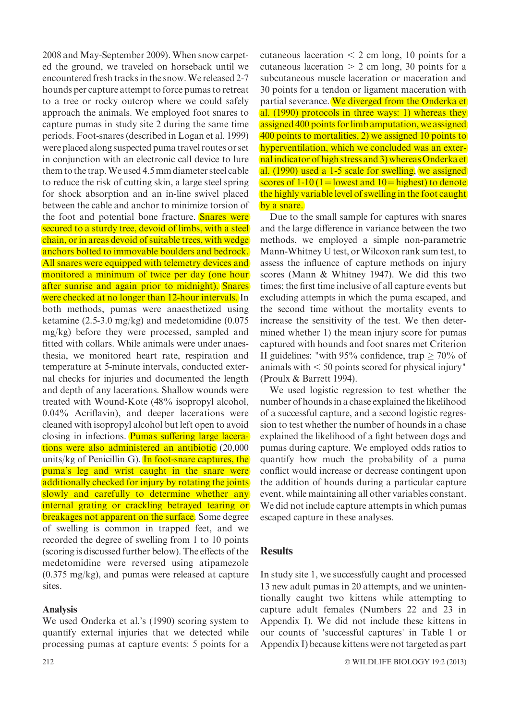2008 and May-September 2009). When snow carpeted the ground, we traveled on horseback until we encountered fresh tracks in the snow.We released 2-7 hounds per capture attempt to force pumas to retreat to a tree or rocky outcrop where we could safely approach the animals. We employed foot snares to capture pumas in study site 2 during the same time periods. Foot-snares (described in Logan et al. 1999) were placed along suspected puma travel routes or set in conjunction with an electronic call device to lure them to the trap.We used 4.5 mm diameter steel cable to reduce the risk of cutting skin, a large steel spring for shock absorption and an in-line swivel placed between the cable and anchor to minimize torsion of the foot and potential bone fracture. **Snares were** secured to a sturdy tree, devoid of limbs, with a steel chain, or in areas devoid of suitable trees, with wedge anchors bolted to immovable boulders and bedrock. All snares were equipped with telemetry devices and monitored a minimum of twice per day (one hour after sunrise and again prior to midnight). Snares were checked at no longer than 12-hour intervals. In both methods, pumas were anaesthetized using ketamine (2.5-3.0 mg/kg) and medetomidine (0.075 mg/kg) before they were processed, sampled and fitted with collars. While animals were under anaesthesia, we monitored heart rate, respiration and temperature at 5-minute intervals, conducted external checks for injuries and documented the length and depth of any lacerations. Shallow wounds were treated with Wound-Kote (48% isopropyl alcohol, 0.04% Acriflavin), and deeper lacerations were cleaned with isopropyl alcohol but left open to avoid closing in infections. Pumas suffering large lacerations were also administered an antibiotic (20,000 units/kg of Penicillin G). In foot-snare captures, the puma's leg and wrist caught in the snare were additionally checked for injury by rotating the joints slowly and carefully to determine whether any internal grating or crackling betrayed tearing or **breakages not apparent on the surface.** Some degree of swelling is common in trapped feet, and we recorded the degree of swelling from 1 to 10 points (scoring is discussed further below). The effects of the medetomidine were reversed using atipamezole (0.375 mg/kg), and pumas were released at capture sites.

## Analysis

We used Onderka et al.'s (1990) scoring system to quantify external injuries that we detected while processing pumas at capture events: 5 points for a

212  $\hspace{1.5cm}^{\circ}$ 

cutaneous laceration  $<$  2 cm long, 10 points for a cutaneous laceration  $> 2$  cm long, 30 points for a subcutaneous muscle laceration or maceration and 30 points for a tendon or ligament maceration with partial severance. We diverged from the Onderka et al. (1990) protocols in three ways: 1) whereas they assigned 400 points for limb amputation, we assigned 400 points to mortalities, 2) we assigned 10 points to hyperventilation, which we concluded was an externalindicator of high stress and 3) whereas Onderka et al. (1990) used a 1-5 scale for swelling, we assigned scores of 1-10 (1 = lowest and 10 = highest) to denote the highly variable level of swelling in the foot caught by a snare.

Due to the small sample for captures with snares and the large difference in variance between the two methods, we employed a simple non-parametric Mann-Whitney U test, or Wilcoxon rank sum test, to assess the influence of capture methods on injury scores (Mann & Whitney 1947). We did this two times; the first time inclusive of all capture events but excluding attempts in which the puma escaped, and the second time without the mortality events to increase the sensitivity of the test. We then determined whether 1) the mean injury score for pumas captured with hounds and foot snares met Criterion II guidelines: "with 95% confidence, trap  $\geq 70\%$  of animals with  $< 50$  points scored for physical injury" (Proulx & Barrett 1994).

We used logistic regression to test whether the number of hounds in a chase explained the likelihood of a successful capture, and a second logistic regression to test whether the number of hounds in a chase explained the likelihood of a fight between dogs and pumas during capture. We employed odds ratios to quantify how much the probability of a puma conflict would increase or decrease contingent upon the addition of hounds during a particular capture event, while maintaining all other variables constant. We did not include capture attempts in which pumas escaped capture in these analyses.

# **Results**

In study site 1, we successfully caught and processed 13 new adult pumas in 20 attempts, and we unintentionally caught two kittens while attempting to capture adult females (Numbers 22 and 23 in Appendix I). We did not include these kittens in our counts of 'successful captures' in Table 1 or Appendix I) because kittens were not targeted as part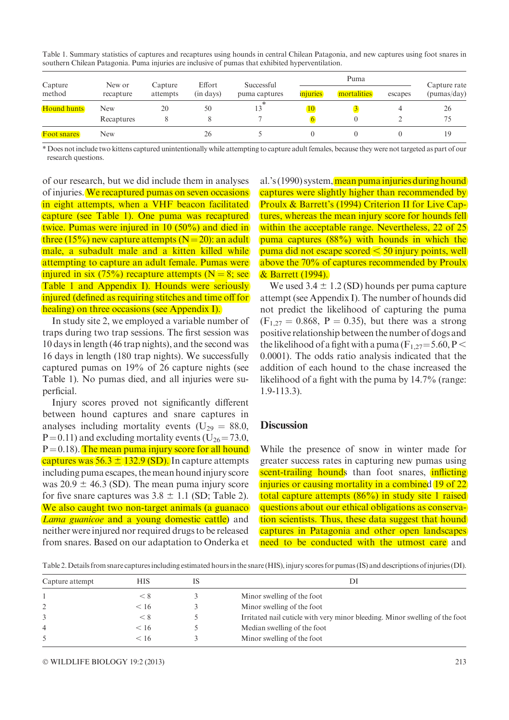|                                         |                     |                           |                           | southern Chilean Patagonia. Puma infuries are inclusive of pumas that exhibited hyperventifation. |          |              |         |             |
|-----------------------------------------|---------------------|---------------------------|---------------------------|---------------------------------------------------------------------------------------------------|----------|--------------|---------|-------------|
| Capture<br>method<br><b>Hound hunts</b> | New or<br>recapture | Capture<br>attempts<br>20 | Effort<br>(in days)<br>50 | Successful<br>puma captures                                                                       |          | Capture rate |         |             |
|                                         |                     |                           |                           |                                                                                                   | injuries | mortalities  | escapes | (pumas/day) |
|                                         | New                 |                           |                           | 13                                                                                                | 10       |              |         | 26          |
|                                         | Recaptures          | 8                         |                           |                                                                                                   | 6        |              |         | 75          |
| <b>Foot snares</b>                      | New                 |                           | 26                        |                                                                                                   |          |              |         | 19          |

Table 1. Summary statistics of captures and recaptures using hounds in central Chilean Patagonia, and new captures using foot snares in southern Chilean Patagonia. Puma injuries are inclusive of pumas that exhibited hyperventilation.

\* Does not include two kittens captured unintentionally while attempting to capture adult females, because they were not targeted as part of our research questions.

of our research, but we did include them in analyses of injuries. We recaptured pumas on seven occasions in eight attempts, when a VHF beacon facilitated capture (see Table 1). One puma was recaptured twice. Pumas were injured in 10 (50%) and died in three (15%) new capture attempts ( $N=20$ ): an adult male, a subadult male and a kitten killed while attempting to capture an adult female. Pumas were injured in six (75%) recapture attempts ( $N = 8$ ; see Table 1 and Appendix I). Hounds were seriously injured (defined as requiring stitches and time off for healing) on three occasions (see Appendix I).

In study site 2, we employed a variable number of traps during two trap sessions. The first session was 10 days in length (46 trap nights), and the second was 16 days in length (180 trap nights). We successfully captured pumas on 19% of 26 capture nights (see Table 1). No pumas died, and all injuries were superficial.

Injury scores proved not significantly different between hound captures and snare captures in analyses including mortality events ( $U_{29} = 88.0$ ,  $P = 0.11$ ) and excluding mortality events (U<sub>26</sub> = 73.0,  $P = 0.18$ . The mean puma injury score for all hound captures was  $56.3 \pm 132.9$  (SD). In capture attempts including puma escapes, the mean hound injury score was  $20.9 \pm 46.3$  (SD). The mean puma injury score for five snare captures was  $3.8 \pm 1.1$  (SD; Table 2). We also caught two non-target animals (a guanaco Lama guanicoe and a young domestic cattle) and neither were injured nor required drugs to be released from snares. Based on our adaptation to Onderka et

al.'s (1990) system, mean puma injuries during hound captures were slightly higher than recommended by Proulx & Barrett's (1994) Criterion II for Live Captures, whereas the mean injury score for hounds fell within the acceptable range. Nevertheless, 22 of 25 puma captures (88%) with hounds in which the puma did not escape scored  $\leq 50$  injury points, well above the 70% of captures recommended by Proulx & Barrett (1994).

We used  $3.4 \pm 1.2$  (SD) hounds per puma capture attempt (see Appendix I). The number of hounds did not predict the likelihood of capturing the puma  $(F_{1,27} = 0.868, P = 0.35)$ , but there was a strong positive relationship between the number of dogs and the likelihood of a fight with a puma ( $F_1$ <sub>27</sub>=5.60, P < 0.0001). The odds ratio analysis indicated that the addition of each hound to the chase increased the likelihood of a fight with the puma by 14.7% (range: 1.9-113.3).

## **Discussion**

While the presence of snow in winter made for greater success rates in capturing new pumas using scent-trailing hounds than foot snares, inflicting injuries or causing mortality in a combined 19 of 22 total capture attempts (86%) in study site 1 raised questions about our ethical obligations as conservation scientists. Thus, these data suggest that hound captures in Patagonia and other open landscapes need to be conducted with the utmost care and

Table 2.Details from snare captures including estimated hours in the snare (HIS), injury scores for pumas (IS) and descriptions of injuries (DI).

| Capture attempt | <b>HIS</b> | DІ                                                                          |  |  |
|-----------------|------------|-----------------------------------------------------------------------------|--|--|
|                 | < 8        | Minor swelling of the foot                                                  |  |  |
|                 | < 16       | Minor swelling of the foot                                                  |  |  |
|                 | < 8        | Irritated nail cuticle with very minor bleeding. Minor swelling of the foot |  |  |
| 4               | < 16       | Median swelling of the foot                                                 |  |  |
| 5               | < 16       | Minor swelling of the foot                                                  |  |  |
|                 |            |                                                                             |  |  |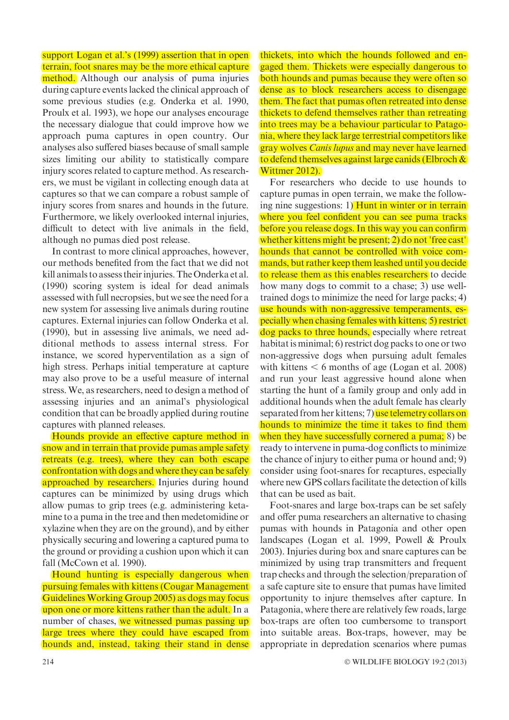support Logan et al.'s (1999) assertion that in open terrain, foot snares may be the more ethical capture method. Although our analysis of puma injuries during capture events lacked the clinical approach of some previous studies (e.g. Onderka et al. 1990, Proulx et al. 1993), we hope our analyses encourage the necessary dialogue that could improve how we approach puma captures in open country. Our analyses also suffered biases because of small sample sizes limiting our ability to statistically compare injury scores related to capture method. As researchers, we must be vigilant in collecting enough data at captures so that we can compare a robust sample of injury scores from snares and hounds in the future. Furthermore, we likely overlooked internal injuries, difficult to detect with live animals in the field, although no pumas died post release.

In contrast to more clinical approaches, however, our methods benefited from the fact that we did not kill animals to assess their injuries. The Onderka et al. (1990) scoring system is ideal for dead animals assessed with full necropsies, but we see the need for a new system for assessing live animals during routine captures. External injuries can follow Onderka et al. (1990), but in assessing live animals, we need additional methods to assess internal stress. For instance, we scored hyperventilation as a sign of high stress. Perhaps initial temperature at capture may also prove to be a useful measure of internal stress. We, as researchers, need to design a method of assessing injuries and an animal's physiological condition that can be broadly applied during routine captures with planned releases.

Hounds provide an effective capture method in snow and in terrain that provide pumas ample safety retreats (e.g. trees), where they can both escape confrontation with dogs and where they can be safely approached by researchers. Injuries during hound captures can be minimized by using drugs which allow pumas to grip trees (e.g. administering ketamine to a puma in the tree and then medetomidine or xylazine when they are on the ground), and by either physically securing and lowering a captured puma to the ground or providing a cushion upon which it can fall (McCown et al. 1990).

Hound hunting is especially dangerous when pursuing females with kittens (Cougar Management Guidelines Working Group 2005) as dogs may focus upon one or more kittens rather than the adult. In a number of chases, we witnessed pumas passing up large trees where they could have escaped from hounds and, instead, taking their stand in dense thickets, into which the hounds followed and engaged them. Thickets were especially dangerous to both hounds and pumas because they were often so dense as to block researchers access to disengage them. The fact that pumas often retreated into dense thickets to defend themselves rather than retreating into trees may be a behaviour particular to Patagonia, where they lack large terrestrial competitors like gray wolves *Canis lupus* and may never have learned to defend themselves against large canids (Elbroch & Wittmer 2012).

For researchers who decide to use hounds to capture pumas in open terrain, we make the following nine suggestions: 1) Hunt in winter or in terrain where you feel confident you can see puma tracks before you release dogs. In this way you can confirm whether kittens might be present; 2) do not <sup>T</sup>ree cast' hounds that cannot be controlled with voice commands, but rather keep them leashed until you decide to release them as this enables researchers to decide how many dogs to commit to a chase; 3) use welltrained dogs to minimize the need for large packs; 4) use hounds with non-aggressive temperaments, especially when chasing females with kittens; 5) restrict dog packs to three hounds, especially where retreat habitat is minimal; 6) restrict dog packs to one or two non-aggressive dogs when pursuing adult females with kittens  $\leq 6$  months of age (Logan et al. 2008) and run your least aggressive hound alone when starting the hunt of a family group and only add in additional hounds when the adult female has clearly separated from her kittens; 7) use telemetry collars on hounds to minimize the time it takes to find them when they have successfully cornered a puma; 8) be ready to intervene in puma-dog conflicts to minimize the chance of injury to either puma or hound and; 9) consider using foot-snares for recaptures, especially where new GPS collars facilitate the detection of kills that can be used as bait.

Foot-snares and large box-traps can be set safely and offer puma researchers an alternative to chasing pumas with hounds in Patagonia and other open landscapes (Logan et al. 1999, Powell & Proulx 2003). Injuries during box and snare captures can be minimized by using trap transmitters and frequent trap checks and through the selection/preparation of a safe capture site to ensure that pumas have limited opportunity to injure themselves after capture. In Patagonia, where there are relatively few roads, large box-traps are often too cumbersome to transport into suitable areas. Box-traps, however, may be appropriate in depredation scenarios where pumas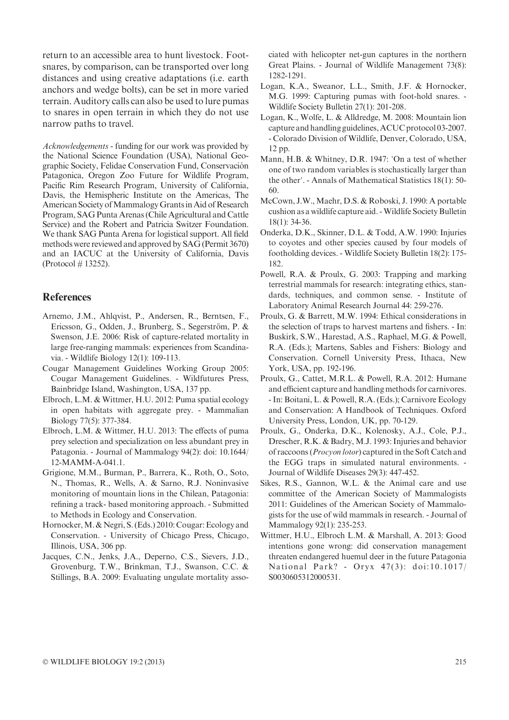return to an accessible area to hunt livestock. Footsnares, by comparison, can be transported over long distances and using creative adaptations (i.e. earth anchors and wedge bolts), can be set in more varied terrain. Auditory calls can also be used to lure pumas to snares in open terrain in which they do not use narrow paths to travel.

Acknowledgements - funding for our work was provided by the National Science Foundation (USA), National Geographic Society, Felidae Conservation Fund, Conservación Patagonica, Oregon Zoo Future for Wildlife Program, Pacific Rim Research Program, University of California, Davis, the Hemispheric Institute on the Americas, The American Society of Mammalogy Grants in Aid of Research Program, SAG Punta Arenas (Chile Agricultural and Cattle Service) and the Robert and Patricia Switzer Foundation. We thank SAG Punta Arena for logistical support. All field methods were reviewed and approved by SAG (Permit 3670) and an IACUC at the University of California, Davis (Protocol # 13252).

## References

- Arnemo, J.M., Ahlqvist, P., Andersen, R., Berntsen, F., Ericsson, G., Odden, J., Brunberg, S., Segerström, P. & Swenson, J.E. 2006: Risk of capture-related mortality in large free-ranging mammals: experiences from Scandinavia. - Wildlife Biology 12(1): 109-113.
- Cougar Management Guidelines Working Group 2005: Cougar Management Guidelines. - Wildfutures Press, Bainbridge Island, Washington, USA, 137 pp.
- Elbroch, L.M. & Wittmer, H.U. 2012: Puma spatial ecology in open habitats with aggregate prey. - Mammalian Biology 77(5): 377-384.
- Elbroch, L.M. & Wittmer, H.U. 2013: The effects of puma prey selection and specialization on less abundant prey in Patagonia. - Journal of Mammalogy 94(2): doi: 10.1644/ 12-MAMM-A-041.1.
- Grigione, M.M., Burman, P., Barrera, K., Roth, O., Soto, N., Thomas, R., Wells, A. & Sarno, R.J. Noninvasive monitoring of mountain lions in the Chilean, Patagonia: refining a track- based monitoring approach. - Submitted to Methods in Ecology and Conservation.
- Hornocker,M. & Negri, S. (Eds.) 2010: Cougar: Ecology and Conservation. - University of Chicago Press, Chicago, Illinois, USA, 306 pp.
- Jacques, C.N., Jenks, J.A., Deperno, C.S., Sievers, J.D., Grovenburg, T.W., Brinkman, T.J., Swanson, C.C. & Stillings, B.A. 2009: Evaluating ungulate mortality asso-

ciated with helicopter net-gun captures in the northern Great Plains. - Journal of Wildlife Management 73(8): 1282-1291.

- Logan, K.A., Sweanor, L.L., Smith, J.F. & Hornocker, M.G. 1999: Capturing pumas with foot-hold snares. - Wildlife Society Bulletin 27(1): 201-208.
- Logan, K., Wolfe, L. & Alldredge, M. 2008: Mountain lion capture and handling guidelines, ACUC protocol 03-2007. - Colorado Division of Wildlife, Denver, Colorado, USA, 12 pp.
- Mann, H.B. & Whitney, D.R. 1947: 'On a test of whether one of two random variables is stochastically larger than the other'. - Annals of Mathematical Statistics 18(1): 50- 60.
- McCown, J.W., Maehr, D.S. & Roboski, J. 1990: A portable cushion as a wildlife capture aid. -Wildlife Society Bulletin 18(1): 34-36.
- Onderka, D.K., Skinner, D.L. & Todd, A.W. 1990: Injuries to coyotes and other species caused by four models of footholding devices. - Wildlife Society Bulletin 18(2): 175- 182.
- Powell, R.A. & Proulx, G. 2003: Trapping and marking terrestrial mammals for research: integrating ethics, standards, techniques, and common sense. - Institute of Laboratory Animal Research Journal 44: 259-276.
- Proulx, G. & Barrett, M.W. 1994: Ethical considerations in the selection of traps to harvest martens and fishers. - In: Buskirk, S.W., Harestad, A.S., Raphael, M.G. & Powell, R.A. (Eds.); Martens, Sables and Fishers: Biology and Conservation. Cornell University Press, Ithaca, New York, USA, pp. 192-196.
- Proulx, G., Cattet, M.R.L. & Powell, R.A. 2012: Humane and efficient capture and handling methods for carnivores. - In: Boitani, L. & Powell, R.A. (Eds.); Carnivore Ecology and Conservation: A Handbook of Techniques. Oxford University Press, London, UK, pp. 70-129.
- Proulx, G., Onderka, D.K., Kolenosky, A.J., Cole, P.J., Drescher, R.K. & Badry, M.J. 1993: Injuries and behavior of raccoons (Procyon lotor) captured in the Soft Catch and the EGG traps in simulated natural environments. - Journal of Wildlife Diseases 29(3): 447-452.
- Sikes, R.S., Gannon, W.L. & the Animal care and use committee of the American Society of Mammalogists 2011: Guidelines of the American Society of Mammalogists for the use of wild mammals in research. - Journal of Mammalogy 92(1): 235-253.
- Wittmer, H.U., Elbroch L.M. & Marshall, A. 2013: Good intentions gone wrong: did conservation management threaten endangered huemul deer in the future Patagonia National Park? - Oryx 47(3): doi:10.1017/ S0030605312000531.